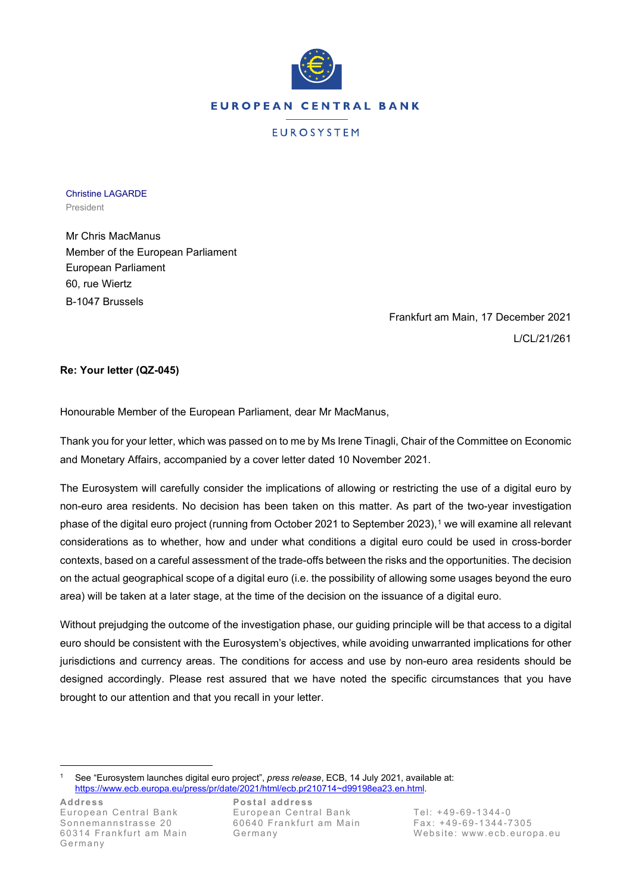

EUROSYSTEM

Christine LAGARDE President

Mr Chris MacManus Member of the European Parliament European Parliament 60, rue Wiertz B-1047 Brussels

> Frankfurt am Main, 17 December 2021 L/CL/21/261

## **Re: Your letter (QZ-045)**

Honourable Member of the European Parliament, dear Mr MacManus,

Thank you for your letter, which was passed on to me by Ms Irene Tinagli, Chair of the Committee on Economic and Monetary Affairs, accompanied by a cover letter dated 10 November 2021.

The Eurosystem will carefully consider the implications of allowing or restricting the use of a digital euro by non-euro area residents. No decision has been taken on this matter. As part of the two-year investigation phase of the digital euro project (running from October 202[1](#page-0-0) to September 2023),<sup>1</sup> we will examine all relevant considerations as to whether, how and under what conditions a digital euro could be used in cross-border contexts, based on a careful assessment of the trade-offs between the risks and the opportunities. The decision on the actual geographical scope of a digital euro (i.e. the possibility of allowing some usages beyond the euro area) will be taken at a later stage, at the time of the decision on the issuance of a digital euro.

Without prejudging the outcome of the investigation phase, our guiding principle will be that access to a digital euro should be consistent with the Eurosystem's objectives, while avoiding unwarranted implications for other jurisdictions and currency areas. The conditions for access and use by non-euro area residents should be designed accordingly. Please rest assured that we have noted the specific circumstances that you have brought to our attention and that you recall in your letter.

<span id="page-0-0"></span><sup>1</sup> See "Eurosystem launches digital euro project", *press release*, ECB, 14 July 2021, available at: [https://www.ecb.europa.eu/press/pr/date/2021/html/ecb.pr210714~d99198ea23.en.html.](https://www.ecb.europa.eu/press/pr/date/2021/html/ecb.pr210714%7Ed99198ea23.en.html)